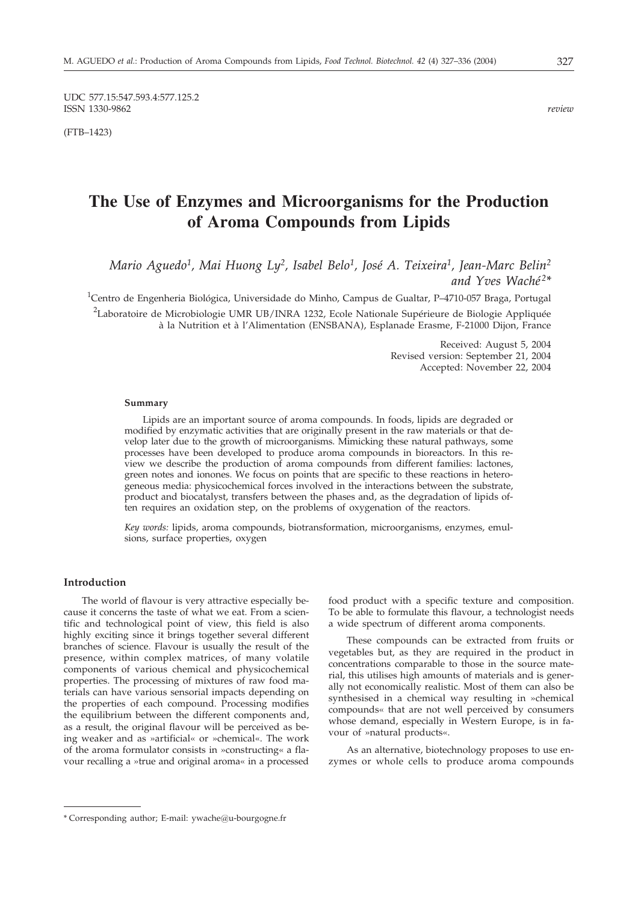UDC 577.15:547.593.4:577.125.2 ISSN 1330-9862 *review*

(FTB–1423)

# **The Use of Enzymes and Microorganisms for the Production of Aroma Compounds from Lipids**

*Mario Aguedo1, Mai Huong Ly2, Isabel Belo1, José A. Teixeira1, Jean-Marc Belin2 and Yves Waché 2\**

<sup>1</sup>Centro de Engenheria Biológica, Universidade do Minho, Campus de Gualtar, P–4710-057 Braga, Portugal

<sup>2</sup>Laboratoire de Microbiologie UMR UB/INRA 1232, Ecole Nationale Supérieure de Biologie Appliquée à la Nutrition et à l'Alimentation (ENSBANA), Esplanade Erasme, F-21000 Dijon, France

> Received: August 5, 2004 Revised version: September 21, 2004 Accepted: November 22, 2004

#### **Summary**

Lipids are an important source of aroma compounds. In foods, lipids are degraded or modified by enzymatic activities that are originally present in the raw materials or that develop later due to the growth of microorganisms. Mimicking these natural pathways, some processes have been developed to produce aroma compounds in bioreactors. In this review we describe the production of aroma compounds from different families: lactones, green notes and ionones. We focus on points that are specific to these reactions in heterogeneous media: physicochemical forces involved in the interactions between the substrate, product and biocatalyst, transfers between the phases and, as the degradation of lipids often requires an oxidation step, on the problems of oxygenation of the reactors.

*Key words:* lipids, aroma compounds, biotransformation, microorganisms, enzymes, emulsions, surface properties, oxygen

#### **Introduction**

The world of flavour is very attractive especially because it concerns the taste of what we eat. From a scientific and technological point of view, this field is also highly exciting since it brings together several different branches of science. Flavour is usually the result of the presence, within complex matrices, of many volatile components of various chemical and physicochemical properties. The processing of mixtures of raw food materials can have various sensorial impacts depending on the properties of each compound. Processing modifies the equilibrium between the different components and, as a result, the original flavour will be perceived as being weaker and as »artificial« or »chemical«. The work of the aroma formulator consists in »constructing« a flavour recalling a »true and original aroma« in a processed food product with a specific texture and composition. To be able to formulate this flavour, a technologist needs a wide spectrum of different aroma components.

These compounds can be extracted from fruits or vegetables but, as they are required in the product in concentrations comparable to those in the source material, this utilises high amounts of materials and is generally not economically realistic. Most of them can also be synthesised in a chemical way resulting in »chemical compounds« that are not well perceived by consumers whose demand, especially in Western Europe, is in favour of »natural products«.

As an alternative, biotechnology proposes to use enzymes or whole cells to produce aroma compounds

<sup>\*</sup> Corresponding author; E-mail: ywache@u-bourgogne.fr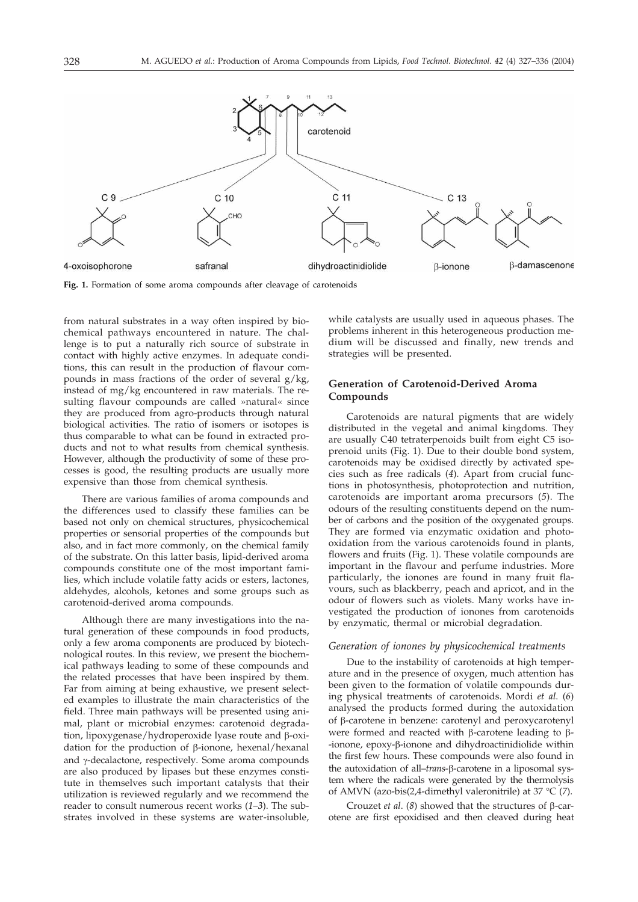

**Fig. 1.** Formation of some aroma compounds after cleavage of carotenoids

from natural substrates in a way often inspired by biochemical pathways encountered in nature. The challenge is to put a naturally rich source of substrate in contact with highly active enzymes. In adequate conditions, this can result in the production of flavour compounds in mass fractions of the order of several  $g/kg$ , instead of mg/kg encountered in raw materials. The resulting flavour compounds are called »natural« since they are produced from agro-products through natural biological activities. The ratio of isomers or isotopes is thus comparable to what can be found in extracted products and not to what results from chemical synthesis. However, although the productivity of some of these processes is good, the resulting products are usually more expensive than those from chemical synthesis.

There are various families of aroma compounds and the differences used to classify these families can be based not only on chemical structures, physicochemical properties or sensorial properties of the compounds but also, and in fact more commonly, on the chemical family of the substrate. On this latter basis, lipid-derived aroma compounds constitute one of the most important families, which include volatile fatty acids or esters, lactones, aldehydes, alcohols, ketones and some groups such as carotenoid-derived aroma compounds.

Although there are many investigations into the natural generation of these compounds in food products, only a few aroma components are produced by biotechnological routes. In this review, we present the biochemical pathways leading to some of these compounds and the related processes that have been inspired by them. Far from aiming at being exhaustive, we present selected examples to illustrate the main characteristics of the field. Three main pathways will be presented using animal, plant or microbial enzymes: carotenoid degradation, lipoxygenase/hydroperoxide lyase route and  $\beta$ -oxidation for the production of  $\beta$ -ionone, hexenal/hexanal and y-decalactone, respectively. Some aroma compounds are also produced by lipases but these enzymes constitute in themselves such important catalysts that their utilization is reviewed regularly and we recommend the reader to consult numerous recent works (*1–3*). The substrates involved in these systems are water-insoluble,

while catalysts are usually used in aqueous phases. The problems inherent in this heterogeneous production medium will be discussed and finally, new trends and strategies will be presented.

# **Generation of Carotenoid-Derived Aroma Compounds**

Carotenoids are natural pigments that are widely distributed in the vegetal and animal kingdoms. They are usually C40 tetraterpenoids built from eight C5 isoprenoid units (Fig. 1). Due to their double bond system, carotenoids may be oxidised directly by activated species such as free radicals (*4*). Apart from crucial functions in photosynthesis, photoprotection and nutrition, carotenoids are important aroma precursors (*5*). The odours of the resulting constituents depend on the number of carbons and the position of the oxygenated groups. They are formed via enzymatic oxidation and photooxidation from the various carotenoids found in plants, flowers and fruits (Fig. 1). These volatile compounds are important in the flavour and perfume industries. More particularly, the ionones are found in many fruit flavours, such as blackberry, peach and apricot, and in the odour of flowers such as violets. Many works have investigated the production of ionones from carotenoids by enzymatic, thermal or microbial degradation.

#### *Generation of ionones by physicochemical treatments*

Due to the instability of carotenoids at high temperature and in the presence of oxygen, much attention has been given to the formation of volatile compounds during physical treatments of carotenoids. Mordi *et al*. (*6*) analysed the products formed during the autoxidation of  $\beta$ -carotene in benzene: carotenyl and peroxycarotenyl were formed and reacted with  $\beta$ -carotene leading to  $\beta$ --ionone, epoxy--ionone and dihydroactinidiolide within the first few hours. These compounds were also found in the autoxidation of all–*trans*-β-carotene in a liposomal system where the radicals were generated by the thermolysis of AMVN (azo-bis(2,4-dimethyl valeronitrile) at 37 °C (*7*).

Crouzet *et al.* ( $8$ ) showed that the structures of  $\beta$ -carotene are first epoxidised and then cleaved during heat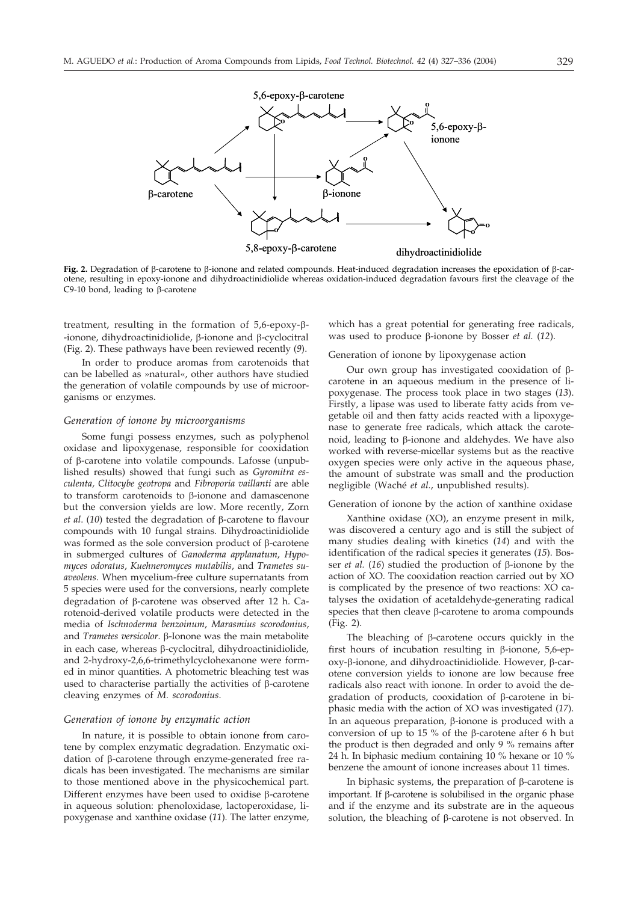

Fig. 2. Degradation of  $\beta$ -carotene to  $\beta$ -ionone and related compounds. Heat-induced degradation increases the epoxidation of  $\beta$ -carotene, resulting in epoxy-ionone and dihydroactinidiolide whereas oxidation-induced degradation favours first the cleavage of the C9-10 bond, leading to  $\beta$ -carotene

treatment, resulting in the formation of  $5,6$ -epoxy- $\beta$ --ionone, dihydroactinidiolide,  $\beta$ -ionone and  $\beta$ -cyclocitral (Fig. 2). These pathways have been reviewed recently (*9*).

In order to produce aromas from carotenoids that can be labelled as »natural«, other authors have studied the generation of volatile compounds by use of microorganisms or enzymes.

#### *Generation of ionone by microorganisms*

Some fungi possess enzymes, such as polyphenol oxidase and lipoxygenase, responsible for cooxidation of  $\beta$ -carotene into volatile compounds. Lafosse (unpublished results) showed that fungi such as *Gyromitra esculenta, Clitocybe geotropa* and *Fibroporia vaillanti* are able to transform carotenoids to  $\beta$ -ionone and damascenone but the conversion yields are low. More recently, Zorn  $et$  *al.* (10) tested the degradation of  $\beta$ -carotene to flavour compounds with 10 fungal strains. Dihydroactinidiolide was formed as the sole conversion product of  $\beta$ -carotene in submerged cultures of *Ganoderma applanatum*, *Hypomyces odoratus*, *Kuehneromyces mutabilis*, and *Trametes suaveolens*. When mycelium-free culture supernatants from 5 species were used for the conversions, nearly complete degradation of  $\beta$ -carotene was observed after 12 h. Carotenoid-derived volatile products were detected in the media of *Ischnoderma benzoinum*, *Marasmius scorodonius*, and *Trametes versicolor*. β-Ionone was the main metabolite in each case, whereas  $\beta$ -cyclocitral, dihydroactinidiolide, and 2-hydroxy-2,6,6-trimethylcyclohexanone were formed in minor quantities. A photometric bleaching test was used to characterise partially the activities of  $\beta$ -carotene cleaving enzymes of *M. scorodonius*.

#### *Generation of ionone by enzymatic action*

In nature, it is possible to obtain ionone from carotene by complex enzymatic degradation. Enzymatic oxidation of  $\beta$ -carotene through enzyme-generated free radicals has been investigated. The mechanisms are similar to those mentioned above in the physicochemical part. Different enzymes have been used to oxidise  $\beta$ -carotene in aqueous solution: phenoloxidase, lactoperoxidase, lipoxygenase and xanthine oxidase (*11*). The latter enzyme, which has a great potential for generating free radicals, was used to produce  $\beta$ -ionone by Bosser *et al.* (12).

Generation of ionone by lipoxygenase action

Our own group has investigated cooxidation of  $\beta$ carotene in an aqueous medium in the presence of lipoxygenase. The process took place in two stages (*13*). Firstly, a lipase was used to liberate fatty acids from vegetable oil and then fatty acids reacted with a lipoxygenase to generate free radicals, which attack the carotenoid, leading to  $\beta$ -ionone and aldehydes. We have also worked with reverse-micellar systems but as the reactive oxygen species were only active in the aqueous phase, the amount of substrate was small and the production negligible (Waché *et al.*, unpublished results).

#### Generation of ionone by the action of xanthine oxidase

Xanthine oxidase (XO), an enzyme present in milk, was discovered a century ago and is still the subject of many studies dealing with kinetics (*14*) and with the identification of the radical species it generates (*15*). Bosser *et al.* (16) studied the production of  $\beta$ -ionone by the action of XO. The cooxidation reaction carried out by XO is complicated by the presence of two reactions: XO catalyses the oxidation of acetaldehyde-generating radical species that then cleave  $\beta$ -carotene to aroma compounds (Fig. 2).

The bleaching of  $\beta$ -carotene occurs quickly in the first hours of incubation resulting in  $\beta$ -ionone, 5,6-ep $oxy$ - $\beta$ -ionone, and dihydroactinidiolide. However,  $\beta$ -carotene conversion yields to ionone are low because free radicals also react with ionone. In order to avoid the degradation of products, cooxidation of  $\beta$ -carotene in biphasic media with the action of XO was investigated (*17*). In an aqueous preparation,  $\beta$ -ionone is produced with a conversion of up to 15 % of the  $\beta$ -carotene after 6 h but the product is then degraded and only 9 % remains after 24 h. In biphasic medium containing 10 % hexane or 10 % benzene the amount of ionone increases about 11 times.

In biphasic systems, the preparation of  $\beta$ -carotene is important. If  $\beta$ -carotene is solubilised in the organic phase and if the enzyme and its substrate are in the aqueous solution, the bleaching of  $\beta$ -carotene is not observed. In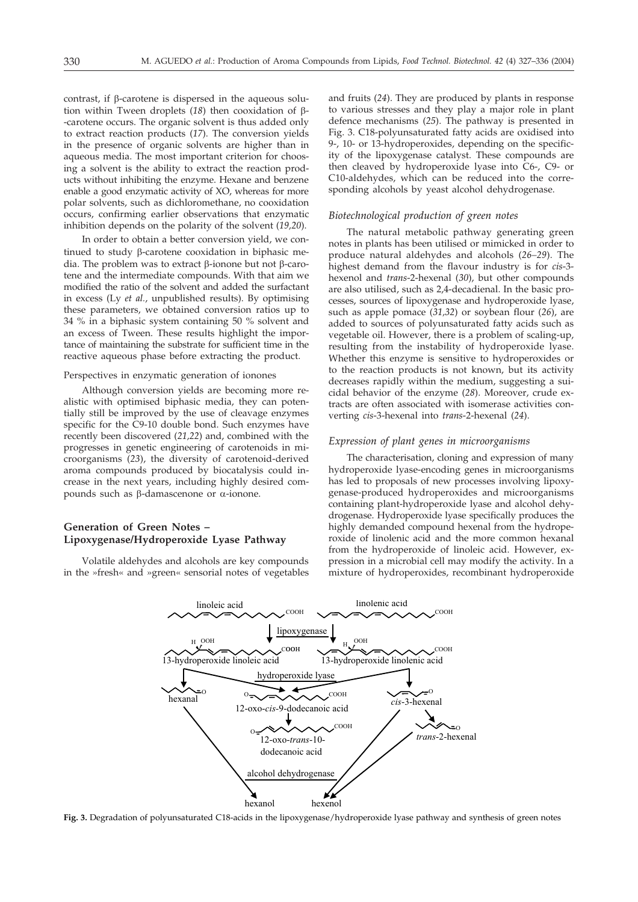contrast, if  $\beta$ -carotene is dispersed in the aqueous solution within Tween droplets  $(18)$  then cooxidation of  $\beta$ --carotene occurs. The organic solvent is thus added only to extract reaction products (*17*). The conversion yields in the presence of organic solvents are higher than in aqueous media. The most important criterion for choosing a solvent is the ability to extract the reaction products without inhibiting the enzyme. Hexane and benzene enable a good enzymatic activity of XO, whereas for more polar solvents, such as dichloromethane, no cooxidation occurs, confirming earlier observations that enzymatic inhibition depends on the polarity of the solvent (*19,20*).

In order to obtain a better conversion yield, we continued to study  $\beta$ -carotene cooxidation in biphasic media. The problem was to extract  $\beta$ -ionone but not  $\beta$ -carotene and the intermediate compounds. With that aim we modified the ratio of the solvent and added the surfactant in excess (Ly *et al.*, unpublished results). By optimising these parameters, we obtained conversion ratios up to 34 % in a biphasic system containing 50 % solvent and an excess of Tween. These results highlight the importance of maintaining the substrate for sufficient time in the reactive aqueous phase before extracting the product.

#### Perspectives in enzymatic generation of ionones

Although conversion yields are becoming more realistic with optimised biphasic media, they can potentially still be improved by the use of cleavage enzymes specific for the C9-10 double bond. Such enzymes have recently been discovered (*21,22*) and, combined with the progresses in genetic engineering of carotenoids in microorganisms (*23*), the diversity of carotenoid-derived aroma compounds produced by biocatalysis could increase in the next years, including highly desired compounds such as  $\beta$ -damascenone or  $\alpha$ -ionone.

# **Generation of Green Notes – Lipoxygenase/Hydroperoxide Lyase Pathway**

Volatile aldehydes and alcohols are key compounds in the »fresh« and »green« sensorial notes of vegetables and fruits (*24*). They are produced by plants in response to various stresses and they play a major role in plant defence mechanisms (*25*). The pathway is presented in Fig. 3. C18-polyunsaturated fatty acids are oxidised into 9-, 10- or 13-hydroperoxides, depending on the specificity of the lipoxygenase catalyst. These compounds are then cleaved by hydroperoxide lyase into C6-, C9- or C10-aldehydes, which can be reduced into the corresponding alcohols by yeast alcohol dehydrogenase.

#### *Biotechnological production of green notes*

The natural metabolic pathway generating green notes in plants has been utilised or mimicked in order to produce natural aldehydes and alcohols (*26–29*). The highest demand from the flavour industry is for *cis*-3 hexenol and *trans*-2-hexenal (*30*), but other compounds are also utilised, such as 2,4-decadienal. In the basic processes, sources of lipoxygenase and hydroperoxide lyase, such as apple pomace (*31,32*) or soybean flour (*26*), are added to sources of polyunsaturated fatty acids such as vegetable oil. However, there is a problem of scaling-up, resulting from the instability of hydroperoxide lyase. Whether this enzyme is sensitive to hydroperoxides or to the reaction products is not known, but its activity decreases rapidly within the medium, suggesting a suicidal behavior of the enzyme (*28*). Moreover, crude extracts are often associated with isomerase activities converting *cis*-3-hexenal into *trans*-2-hexenal (*24*).

#### *Expression of plant genes in microorganisms*

The characterisation, cloning and expression of many hydroperoxide lyase-encoding genes in microorganisms has led to proposals of new processes involving lipoxygenase-produced hydroperoxides and microorganisms containing plant-hydroperoxide lyase and alcohol dehydrogenase. Hydroperoxide lyase specifically produces the highly demanded compound hexenal from the hydroperoxide of linolenic acid and the more common hexanal from the hydroperoxide of linoleic acid. However, expression in a microbial cell may modify the activity. In a mixture of hydroperoxides, recombinant hydroperoxide



**Fig. 3.** Degradation of polyunsaturated C18-acids in the lipoxygenase/hydroperoxide lyase pathway and synthesis of green notes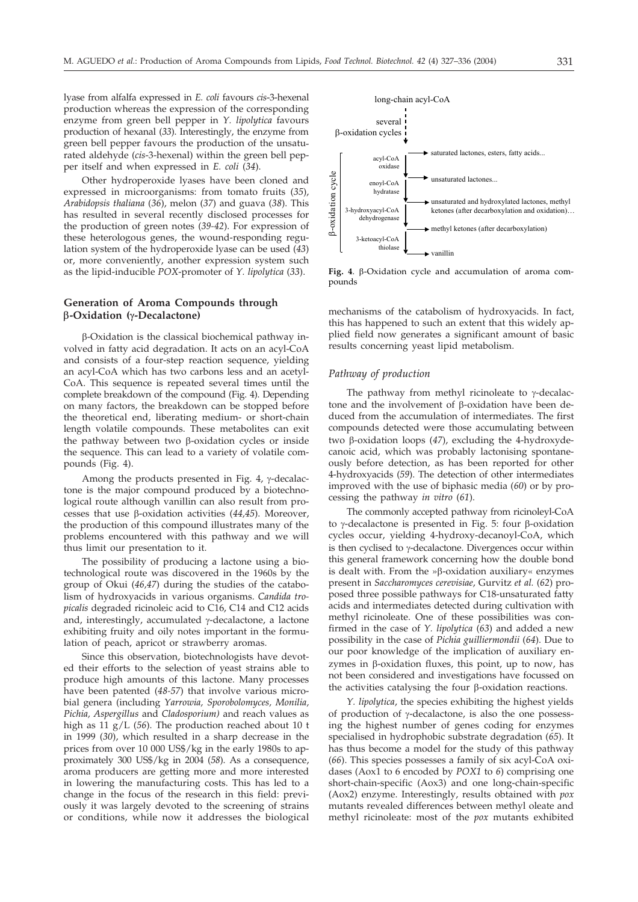lyase from alfalfa expressed in *E. coli* favours *cis*-3-hexenal production whereas the expression of the corresponding enzyme from green bell pepper in *Y. lipolytica* favours production of hexanal (*33*). Interestingly, the enzyme from green bell pepper favours the production of the unsaturated aldehyde (*cis*-3-hexenal) within the green bell pepper itself and when expressed in *E. coli* (*34*).

Other hydroperoxide lyases have been cloned and expressed in microorganisms: from tomato fruits (*35*), *Arabidopsis thaliana* (*36*), melon (*37*) and guava (*38*). This has resulted in several recently disclosed processes for the production of green notes (*39-42*). For expression of these heterologous genes, the wound-responding regulation system of the hydroperoxide lyase can be used (*43*) or, more conveniently, another expression system such as the lipid-inducible *POX*-promoter of *Y. lipolytica* (*33*).

## **Generation of Aroma Compounds through -Oxidation (--Decalactone)**

 $\beta$ -Oxidation is the classical biochemical pathway involved in fatty acid degradation. It acts on an acyl-CoA and consists of a four-step reaction sequence, yielding an acyl-CoA which has two carbons less and an acetyl-CoA. This sequence is repeated several times until the complete breakdown of the compound (Fig. 4). Depending on many factors, the breakdown can be stopped before the theoretical end, liberating medium- or short-chain length volatile compounds. These metabolites can exit the pathway between two  $\beta$ -oxidation cycles or inside the sequence. This can lead to a variety of volatile compounds (Fig. 4).

Among the products presented in Fig.  $4$ ,  $\gamma$ -decalactone is the major compound produced by a biotechnological route although vanillin can also result from processes that use  $\beta$ -oxidation activities (44,45). Moreover, the production of this compound illustrates many of the problems encountered with this pathway and we will thus limit our presentation to it.

The possibility of producing a lactone using a biotechnological route was discovered in the 1960s by the group of Okui (*46,47*) during the studies of the catabolism of hydroxyacids in various organisms. *Candida tropicalis* degraded ricinoleic acid to C16, C14 and C12 acids and, interestingly, accumulated y-decalactone, a lactone exhibiting fruity and oily notes important in the formulation of peach, apricot or strawberry aromas.

Since this observation, biotechnologists have devoted their efforts to the selection of yeast strains able to produce high amounts of this lactone. Many processes have been patented (*48-57*) that involve various microbial genera (including *Yarrowia, Sporobolomyces, Monilia, Pichia, Aspergillus* and *Cladosporium)* and reach values as high as 11 g/L (*56*). The production reached about 10 t in 1999 (*30*), which resulted in a sharp decrease in the prices from over 10 000 US\$/kg in the early 1980s to approximately 300 US\$/kg in 2004 (*58*). As a consequence, aroma producers are getting more and more interested in lowering the manufacturing costs. This has led to a change in the focus of the research in this field: previously it was largely devoted to the screening of strains or conditions, while now it addresses the biological



Fig. 4.  $\beta$ -Oxidation cycle and accumulation of aroma compounds

mechanisms of the catabolism of hydroxyacids. In fact, this has happened to such an extent that this widely applied field now generates a significant amount of basic results concerning yeast lipid metabolism.

#### *Pathway of production*

The pathway from methyl ricinoleate to  $\gamma$ -decalactone and the involvement of  $\beta$ -oxidation have been deduced from the accumulation of intermediates. The first compounds detected were those accumulating between two  $\beta$ -oxidation loops (47), excluding the 4-hydroxydecanoic acid, which was probably lactonising spontaneously before detection, as has been reported for other 4-hydroxyacids (*59*). The detection of other intermediates improved with the use of biphasic media (*60*) or by processing the pathway *in vitro* (*61*).

The commonly accepted pathway from ricinoleyl-CoA to  $\gamma$ -decalactone is presented in Fig. 5: four  $\beta$ -oxidation cycles occur, yielding 4-hydroxy-decanoyl-CoA, which is then cyclised to  $\gamma$ -decalactone. Divergences occur within this general framework concerning how the double bond is dealt with. From the » $\beta$ -oxidation auxiliary« enzymes present in *Saccharomyces cerevisiae*, Gurvitz *et al.* (*62*) proposed three possible pathways for C18-unsaturated fatty acids and intermediates detected during cultivation with methyl ricinoleate. One of these possibilities was confirmed in the case of *Y. lipolytica* (*63*) and added a new possibility in the case of *Pichia guilliermondii* (*64*). Due to our poor knowledge of the implication of auxiliary enzymes in  $\beta$ -oxidation fluxes, this point, up to now, has not been considered and investigations have focussed on the activities catalysing the four  $\beta$ -oxidation reactions.

*Y. lipolytica*, the species exhibiting the highest yields of production of  $\gamma$ -decalactone, is also the one possessing the highest number of genes coding for enzymes specialised in hydrophobic substrate degradation (*65*). It has thus become a model for the study of this pathway (*66*). This species possesses a family of six acyl-CoA oxidases (Aox1 to 6 encoded by *POX1* to *6*) comprising one short-chain-specific (Aox3) and one long-chain-specific (Aox2) enzyme. Interestingly, results obtained with *pox* mutants revealed differences between methyl oleate and methyl ricinoleate: most of the *pox* mutants exhibited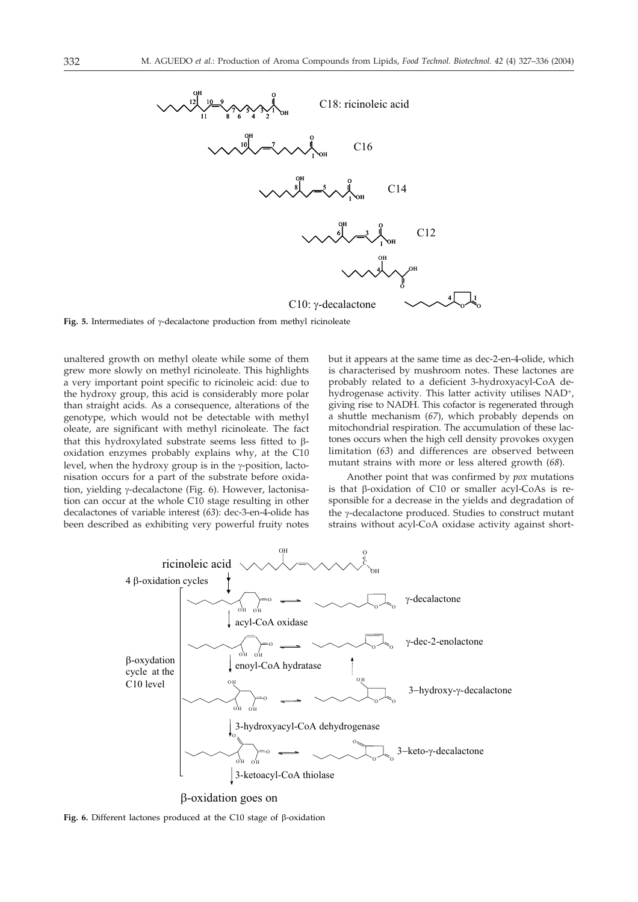

Fig. 5. Intermediates of y-decalactone production from methyl ricinoleate

unaltered growth on methyl oleate while some of them grew more slowly on methyl ricinoleate. This highlights a very important point specific to ricinoleic acid: due to the hydroxy group, this acid is considerably more polar than straight acids. As a consequence, alterations of the genotype, which would not be detectable with methyl oleate, are significant with methyl ricinoleate. The fact that this hydroxylated substrate seems less fitted to  $\beta$ oxidation enzymes probably explains why, at the C10 level, when the hydroxy group is in the  $\gamma$ -position, lactonisation occurs for a part of the substrate before oxidation, yielding γ-decalactone (Fig. 6). However, lactonisation can occur at the whole C10 stage resulting in other decalactones of variable interest (*63*): dec-3-en-4-olide has been described as exhibiting very powerful fruity notes

but it appears at the same time as dec-2-en-4-olide, which is characterised by mushroom notes. These lactones are probably related to a deficient 3-hydroxyacyl-CoA dehydrogenase activity. This latter activity utilises NAD+, giving rise to NADH. This cofactor is regenerated through a shuttle mechanism (*67*), which probably depends on mitochondrial respiration. The accumulation of these lactones occurs when the high cell density provokes oxygen limitation (*63*) and differences are observed between mutant strains with more or less altered growth (*68*).

Another point that was confirmed by *pox* mutations is that  $\beta$ -oxidation of C10 or smaller acyl-CoAs is responsible for a decrease in the yields and degradation of the γ-decalactone produced. Studies to construct mutant strains without acyl-CoA oxidase activity against short-



Fig. 6. Different lactones produced at the C10 stage of  $\beta$ -oxidation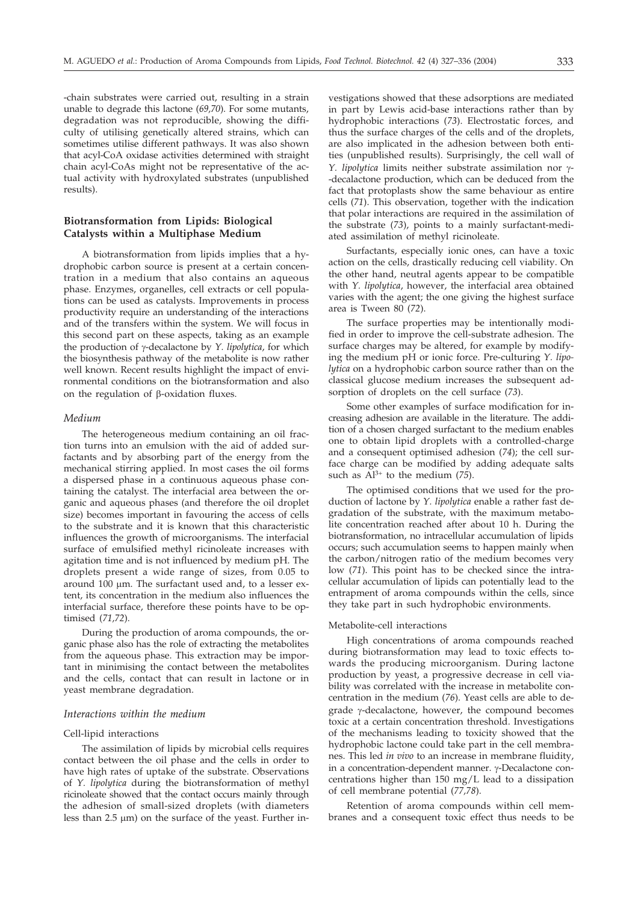-chain substrates were carried out, resulting in a strain unable to degrade this lactone (*69,70*). For some mutants, degradation was not reproducible, showing the difficulty of utilising genetically altered strains, which can sometimes utilise different pathways. It was also shown that acyl-CoA oxidase activities determined with straight chain acyl-CoAs might not be representative of the actual activity with hydroxylated substrates (unpublished results).

#### **Biotransformation from Lipids: Biological Catalysts within a Multiphase Medium**

A biotransformation from lipids implies that a hydrophobic carbon source is present at a certain concentration in a medium that also contains an aqueous phase. Enzymes, organelles, cell extracts or cell populations can be used as catalysts. Improvements in process productivity require an understanding of the interactions and of the transfers within the system. We will focus in this second part on these aspects, taking as an example the production of γ-decalactone by *Y. lipolytica*, for which the biosynthesis pathway of the metabolite is now rather well known. Recent results highlight the impact of environmental conditions on the biotransformation and also on the regulation of B-oxidation fluxes.

#### *Medium*

The heterogeneous medium containing an oil fraction turns into an emulsion with the aid of added surfactants and by absorbing part of the energy from the mechanical stirring applied. In most cases the oil forms a dispersed phase in a continuous aqueous phase containing the catalyst. The interfacial area between the organic and aqueous phases (and therefore the oil droplet size) becomes important in favouring the access of cells to the substrate and it is known that this characteristic influences the growth of microorganisms. The interfacial surface of emulsified methyl ricinoleate increases with agitation time and is not influenced by medium pH. The droplets present a wide range of sizes, from 0.05 to around 100 µm. The surfactant used and, to a lesser extent, its concentration in the medium also influences the interfacial surface, therefore these points have to be optimised (*71,72*).

During the production of aroma compounds, the organic phase also has the role of extracting the metabolites from the aqueous phase. This extraction may be important in minimising the contact between the metabolites and the cells, contact that can result in lactone or in yeast membrane degradation.

#### *Interactions within the medium*

#### Cell-lipid interactions

The assimilation of lipids by microbial cells requires contact between the oil phase and the cells in order to have high rates of uptake of the substrate. Observations of *Y. lipolytica* during the biotransformation of methyl ricinoleate showed that the contact occurs mainly through the adhesion of small-sized droplets (with diameters less than  $2.5 \mu m$ ) on the surface of the yeast. Further investigations showed that these adsorptions are mediated in part by Lewis acid-base interactions rather than by hydrophobic interactions (*73*). Electrostatic forces, and thus the surface charges of the cells and of the droplets, are also implicated in the adhesion between both entities (unpublished results). Surprisingly, the cell wall of *Y. lipolytica* limits neither substrate assimilation nor  $\gamma$ --decalactone production, which can be deduced from the fact that protoplasts show the same behaviour as entire cells (*71*). This observation, together with the indication that polar interactions are required in the assimilation of the substrate (*73*), points to a mainly surfactant-mediated assimilation of methyl ricinoleate.

Surfactants, especially ionic ones, can have a toxic action on the cells, drastically reducing cell viability. On the other hand, neutral agents appear to be compatible with *Y. lipolytica*, however, the interfacial area obtained varies with the agent; the one giving the highest surface area is Tween 80 (*72*).

The surface properties may be intentionally modified in order to improve the cell-substrate adhesion. The surface charges may be altered, for example by modifying the medium pH or ionic force. Pre-culturing *Y. lipolytica* on a hydrophobic carbon source rather than on the classical glucose medium increases the subsequent adsorption of droplets on the cell surface (*73*).

Some other examples of surface modification for increasing adhesion are available in the literature. The addition of a chosen charged surfactant to the medium enables one to obtain lipid droplets with a controlled-charge and a consequent optimised adhesion (*74*); the cell surface charge can be modified by adding adequate salts such as  $\tilde{Al}^{3+}$  to the medium (75).

The optimised conditions that we used for the production of lactone by *Y. lipolytica* enable a rather fast degradation of the substrate, with the maximum metabolite concentration reached after about 10 h. During the biotransformation, no intracellular accumulation of lipids occurs; such accumulation seems to happen mainly when the carbon/nitrogen ratio of the medium becomes very low (*71*). This point has to be checked since the intracellular accumulation of lipids can potentially lead to the entrapment of aroma compounds within the cells, since they take part in such hydrophobic environments.

#### Metabolite-cell interactions

High concentrations of aroma compounds reached during biotransformation may lead to toxic effects towards the producing microorganism. During lactone production by yeast, a progressive decrease in cell viability was correlated with the increase in metabolite concentration in the medium (*76*). Yeast cells are able to degrade  $\gamma$ -decalactone, however, the compound becomes toxic at a certain concentration threshold. Investigations of the mechanisms leading to toxicity showed that the hydrophobic lactone could take part in the cell membranes. This led *in vivo* to an increase in membrane fluidity, in a concentration-dependent manner. y-Decalactone concentrations higher than 150 mg/L lead to a dissipation of cell membrane potential (*77,78*).

Retention of aroma compounds within cell membranes and a consequent toxic effect thus needs to be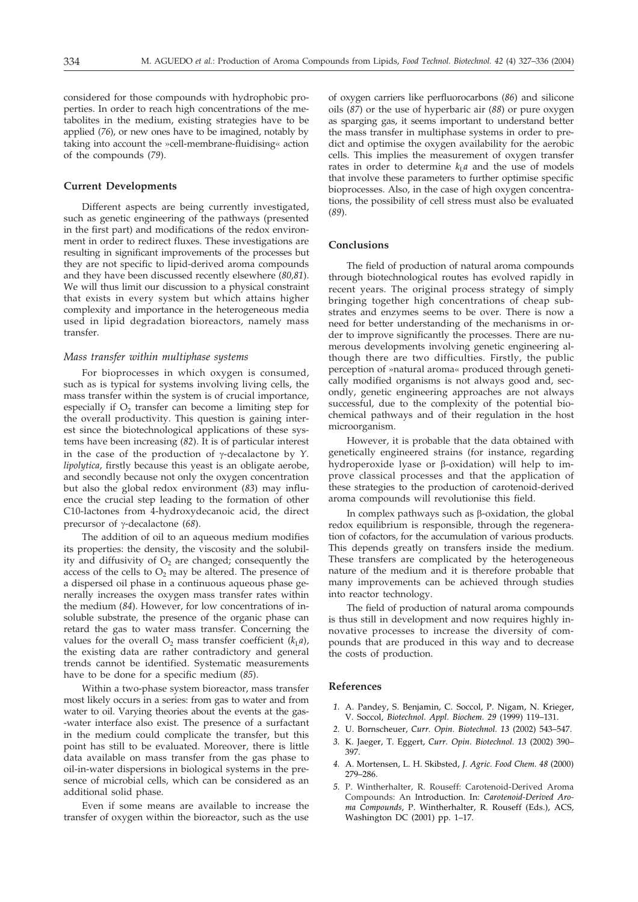considered for those compounds with hydrophobic properties. In order to reach high concentrations of the metabolites in the medium, existing strategies have to be applied (*76*), or new ones have to be imagined, notably by taking into account the »cell-membrane-fluidising« action of the compounds (*79*).

#### **Current Developments**

Different aspects are being currently investigated, such as genetic engineering of the pathways (presented in the first part) and modifications of the redox environment in order to redirect fluxes. These investigations are resulting in significant improvements of the processes but they are not specific to lipid-derived aroma compounds and they have been discussed recently elsewhere (*80,81*). We will thus limit our discussion to a physical constraint that exists in every system but which attains higher complexity and importance in the heterogeneous media used in lipid degradation bioreactors, namely mass transfer.

#### *Mass transfer within multiphase systems*

For bioprocesses in which oxygen is consumed, such as is typical for systems involving living cells, the mass transfer within the system is of crucial importance, especially if  $O_2$  transfer can become a limiting step for the overall productivity. This question is gaining interest since the biotechnological applications of these systems have been increasing (*82*). It is of particular interest in the case of the production of  $\gamma$ -decalactone by  $Y.$ *lipolytica*, firstly because this yeast is an obligate aerobe, and secondly because not only the oxygen concentration but also the global redox environment (*83*) may influence the crucial step leading to the formation of other C10-lactones from 4-hydroxydecanoic acid, the direct precursor of γ-decalactone (68).

The addition of oil to an aqueous medium modifies its properties: the density, the viscosity and the solubility and diffusivity of  $O<sub>2</sub>$  are changed; consequently the access of the cells to  $O_2$  may be altered. The presence of a dispersed oil phase in a continuous aqueous phase generally increases the oxygen mass transfer rates within the medium (*84*). However, for low concentrations of insoluble substrate, the presence of the organic phase can retard the gas to water mass transfer. Concerning the values for the overall  $O_2$  mass transfer coefficient ( $k<sub>L</sub>a$ ), the existing data are rather contradictory and general trends cannot be identified. Systematic measurements have to be done for a specific medium (*85*).

Within a two-phase system bioreactor, mass transfer most likely occurs in a series: from gas to water and from water to oil. Varying theories about the events at the gas- -water interface also exist. The presence of a surfactant in the medium could complicate the transfer, but this point has still to be evaluated. Moreover, there is little data available on mass transfer from the gas phase to oil-in-water dispersions in biological systems in the presence of microbial cells, which can be considered as an additional solid phase.

Even if some means are available to increase the transfer of oxygen within the bioreactor, such as the use of oxygen carriers like perfluorocarbons (*86*) and silicone oils (*87*) or the use of hyperbaric air (*88*) or pure oxygen as sparging gas, it seems important to understand better the mass transfer in multiphase systems in order to predict and optimise the oxygen availability for the aerobic cells. This implies the measurement of oxygen transfer rates in order to determine  $k<sub>L</sub>a$  and the use of models that involve these parameters to further optimise specific bioprocesses. Also, in the case of high oxygen concentrations, the possibility of cell stress must also be evaluated (*89*).

#### **Conclusions**

The field of production of natural aroma compounds through biotechnological routes has evolved rapidly in recent years. The original process strategy of simply bringing together high concentrations of cheap substrates and enzymes seems to be over. There is now a need for better understanding of the mechanisms in order to improve significantly the processes. There are numerous developments involving genetic engineering although there are two difficulties. Firstly, the public perception of »natural aroma« produced through genetically modified organisms is not always good and, secondly, genetic engineering approaches are not always successful, due to the complexity of the potential biochemical pathways and of their regulation in the host microorganism.

However, it is probable that the data obtained with genetically engineered strains (for instance, regarding hydroperoxide lyase or  $\beta$ -oxidation) will help to improve classical processes and that the application of these strategies to the production of carotenoid-derived aroma compounds will revolutionise this field.

In complex pathways such as  $\beta$ -oxidation, the global redox equilibrium is responsible, through the regeneration of cofactors, for the accumulation of various products. This depends greatly on transfers inside the medium. These transfers are complicated by the heterogeneous nature of the medium and it is therefore probable that many improvements can be achieved through studies into reactor technology.

The field of production of natural aroma compounds is thus still in development and now requires highly innovative processes to increase the diversity of compounds that are produced in this way and to decrease the costs of production.

#### **References**

- *1.* A. Pandey, S. Benjamin, C. Soccol, P. Nigam, N. Krieger, V. Soccol, *Biotechnol. Appl. Biochem. 29* (1999) 119–131.
- *2.* U. Bornscheuer, *Curr. Opin. Biotechnol. 13* (2002) 543–547.
- *3.* K. Jaeger, T. Eggert, *Curr. Opin. Biotechnol. 13* (2002) 390– 397.
- *4.* A. Mortensen, L. H. Skibsted, *J. Agric. Food Chem. 48* (2000) 279–286.
- *5.* P. Wintherhalter, R. Rouseff: Carotenoid-Derived Aroma Compounds: An Introduction. In: *Carotenoid-Derived Aroma Compounds*, P. Wintherhalter, R. Rouseff (Eds.), ACS, Washington DC (2001) pp. 1–17.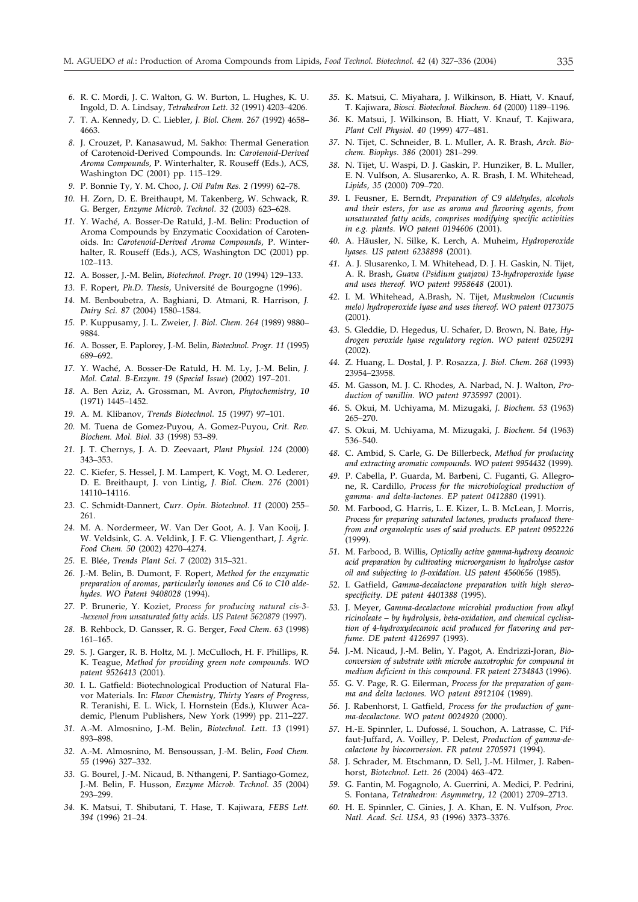- *6.* R. C. Mordi, J. C. Walton, G. W. Burton, L. Hughes, K. U. Ingold, D. A. Lindsay, *Tetrahedron Lett. 32* (1991) 4203–4206.
- *7.* T. A. Kennedy, D. C. Liebler, *J. Biol. Chem. 267* (1992) 4658– 4663.
- *8.* J. Crouzet, P. Kanasawud, M. Sakho: Thermal Generation of Carotenoid-Derived Compounds. In: *Carotenoid-Derived Aroma Compounds*, P. Winterhalter, R. Rouseff (Eds.), ACS, Washington DC (2001) pp. 115–129.
- *9.* P. Bonnie Ty, Y. M. Choo, *J. Oil Palm Res. 2 (*1999) 62–78.
- *10.* H. Zorn, D. E. Breithaupt, M. Takenberg, W. Schwack, R. G. Berger, *Enzyme Microb. Technol. 32* (2003) 623–628.
- *11.* Y. Waché, A. Bosser-De Ratuld, J.-M. Belin: Production of Aroma Compounds by Enzymatic Cooxidation of Carotenoids. In: *Carotenoid-Derived Aroma Compounds*, P. Winterhalter, R. Rouseff (Eds.), ACS, Washington DC (2001) pp. 102–113.
- *12.* A. Bosser, J.-M. Belin, *Biotechnol. Progr. 10* (1994) 129–133.
- *13.* F. Ropert, *Ph.D. Thesis*, Université de Bourgogne (1996).
- *14.* M. Benboubetra, A. Baghiani, D. Atmani, R. Harrison, *J. Dairy Sci. 87* (2004) 1580–1584.
- *15.* P. Kuppusamy, J. L. Zweier, *J. Biol. Chem. 264* (1989) 9880– 9884.
- *16.* A. Bosser, E. Paplorey, J.-M. Belin, *Biotechnol. Progr. 11* (1995) 689–692.
- *17.* Y. Waché, A. Bosser-De Ratuld, H. M. Ly, J.-M. Belin, *J. Mol. Catal. B-Enzym. 19* (*Special Issue*) (2002) 197–201.
- *18.* A. Ben Aziz, A. Grossman, M. Avron, *Phytochemistry*, *10* (1971) 1445–1452.
- *19.* A. M. Klibanov, *Trends Biotechnol. 15* (1997) 97–101.
- *20.* M. Tuena de Gomez-Puyou, A. Gomez-Puyou, *Crit. Rev. Biochem. Mol. Biol. 33* (1998) 53–89.
- *21.* J. T. Chernys, J. A. D. Zeevaart, *Plant Physiol. 124* (2000) 343–353.
- *22.* C. Kiefer, S. Hessel, J. M. Lampert, K. Vogt, M. O. Lederer, D. E. Breithaupt, J. von Lintig, *J. Biol. Chem. 276* (2001) 14110–14116.
- *23.* C. Schmidt-Dannert*, Curr. Opin. Biotechnol. 11* (2000) 255– 261.
- *24.* M. A. Nordermeer, W. Van Der Goot, A. J. Van Kooij, J. W. Veldsink, G. A. Veldink, J. F. G. Vliengenthart, *J. Agric. Food Chem. 50* (2002) 4270–4274.
- *25.* E. Blée, *Trends Plant Sci. 7* (2002) 315–321.
- *26.* J.-M. Belin, B. Dumont, F. Ropert, *Method for the enzymatic preparation of aromas, particularly ionones and C6 to C10 aldehydes. WO Patent 9408028* (1994).
- *27.* P. Brunerie, Y. Koziet, *Process for producing natural cis-3- -hexenol from unsaturated fatty acids. US Patent 5620879* (1997).
- *28.* B. Rehbock, D. Gansser, R. G. Berger, *Food Chem. 63* (1998) 161–165.
- *29.* S. J. Garger, R. B. Holtz, M. J. McCulloch, H. F. Phillips, R. K. Teague, *Method for providing green note compounds. WO patent 9526413* (2001).
- *30.* I. L. Gatfield: Biotechnological Production of Natural Flavor Materials. In: *Flavor Chemistry, Thirty Years of Progress,* R. Teranishi, E. L. Wick, I. Hornstein (Eds.), Kluwer Academic, Plenum Publishers, New York (1999) pp. 211–227.
- *31.* A.-M. Almosnino, J.-M. Belin, *Biotechnol. Lett. 13* (1991) 893–898.
- *32.* A.-M. Almosnino, M. Bensoussan, J.-M. Belin, *Food Chem. 55* (1996) 327–332.
- *33.* G. Bourel, J.-M. Nicaud, B. Nthangeni, P. Santiago-Gomez, J.-M. Belin, F. Husson, *Enzyme Microb. Technol. 35* (2004) 293–299.
- *34.* K. Matsui, T. Shibutani, T. Hase, T. Kajiwara, *FEBS Lett. 394* (1996) 21–24.
- *35.* K. Matsui, C. Miyahara, J. Wilkinson, B. Hiatt, V. Knauf, T. Kajiwara, *Biosci. Biotechnol. Biochem. 64* (2000) 1189–1196.
- *36.* K. Matsui, J. Wilkinson, B. Hiatt, V. Knauf, T. Kajiwara, *Plant Cell Physiol. 40* (1999) 477–481.
- *37.* N. Tijet, C. Schneider, B. L. Muller, A. R. Brash, *Arch. Biochem. Biophys. 386* (2001) 281–299.
- *38.* N. Tijet, U. Waspi, D. J. Gaskin, P. Hunziker, B. L. Muller, E. N. Vulfson, A. Slusarenko, A. R. Brash, I. M. Whitehead, *Lipids*, *35* (2000) 709–720.
- *39.* I. Feusner, E. Berndt, *Preparation of C9 aldehydes, alcohols and their esters, for use as aroma and flavoring agents, from unsaturated fatty acids, comprises modifying specific activities in e.g. plants. WO patent 0194606* (2001).
- *40.* A. Häusler, N. Silke, K. Lerch, A. Muheim, *Hydroperoxide lyases. US patent 6238898* (2001).
- *41.* A. J. Slusarenko, I. M. Whitehead, D. J. H. Gaskin, N. Tijet, A. R. Brash, *Guava (Psidium guajava) 13-hydroperoxide lyase and uses thereof. WO patent 9958648* (2001).
- *42.* I. M. Whitehead, A.Brash, N. Tijet, *Muskmelon (Cucumis melo) hydroperoxide lyase and uses thereof. WO patent 0173075* (2001).
- *43.* S. Gleddie, D. Hegedus, U. Schafer, D. Brown, N. Bate, *Hydrogen peroxide lyase regulatory region. WO patent 0250291* (2002).
- *44.* Z. Huang, L. Dostal, J. P. Rosazza, *J. Biol. Chem. 268* (1993) 23954–23958.
- *45.* M. Gasson, M. J. C. Rhodes, A. Narbad, N. J. Walton, *Production of vanillin. WO patent 9735997* (2001).
- *46.* S. Okui, M. Uchiyama, M. Mizugaki, *J. Biochem. 53* (1963) 265–270.
- *47.* S. Okui, M. Uchiyama, M. Mizugaki, *J. Biochem. 54* (1963) 536–540.
- *48.* C. Ambid, S. Carle, G. De Billerbeck, *Method for producing and extracting aromatic compounds. WO patent 9954432* (1999).
- *49.* P. Cabella, P. Guarda, M. Barbeni, C. Fuganti, G. Allegrone, R. Cardillo*, Process for the microbiological production of gamma- and delta-lactones. EP patent 0412880* (1991).
- *50.* M. Farbood, G. Harris, L. E. Kizer, L. B. McLean, J. Morris, *Process for preparing saturated lactones, products produced therefrom and organoleptic uses of said products. EP patent 0952226* (1999).
- *51.* M. Farbood, B. Willis, *Optically active gamma-hydroxy decanoic acid preparation by cultivating microorganism to hydrolyse castor oil and subjecting to -oxidation. US patent 4560656* (1985).
- *52.* I. Gatfield, *Gamma-decalactone preparation with high stereospecificity. DE patent 4401388* (1995).
- *53.* J. Meyer, *Gamma-decalactone microbial production from alkyl ricinoleate – by hydrolysis, beta-oxidation, and chemical cyclisation of 4-hydroxydecanoic acid produced for flavoring and perfume. DE patent 4126997* (1993).
- *54.* J.-M. Nicaud, J.-M. Belin, Y. Pagot, A. Endrizzi-Joran, *Bioconversion of substrate with microbe auxotrophic for compound in medium deficient in this compound. FR patent 2734843* (1996).
- *55.* G. V. Page, R. G. Eilerman, *Process for the preparation of gamma and delta lactones. WO patent 8912104* (1989).
- *56.* J. Rabenhorst, I. Gatfield, *Process for the production of gamma-decalactone. WO patent 0024920* (2000).
- *57.* H.-E. Spinnler, L. Dufossé, I. Souchon, A. Latrasse, C. Piffaut-Juffard, A. Voilley, P. Delest, *Production of gamma-decalactone by bioconversion. FR patent 2705971* (1994).
- *58.* J. Schrader, M. Etschmann, D. Sell, J.-M. Hilmer, J. Rabenhorst, *Biotechnol. Lett. 26* (2004) 463–472.
- *59.* G. Fantin, M. Fogagnolo, A. Guerrini, A. Medici, P. Pedrini, S. Fontana, *Tetrahedron: Asymmetry*, *12* (2001) 2709–2713.
- *60.* H. E. Spinnler, C. Ginies, J. A. Khan, E. N. Vulfson, *Proc. Natl. Acad. Sci. USA*, *93* (1996) 3373–3376.